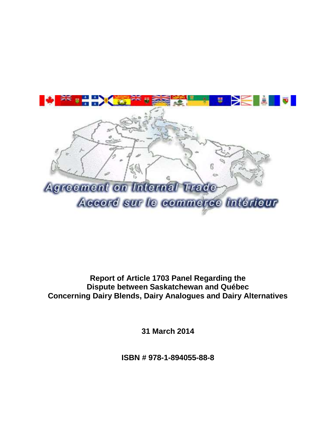

**Report of Article 1703 Panel Regarding the Dispute between Saskatchewan and Québec Concerning Dairy Blends, Dairy Analogues and Dairy Alternatives**

**31 March 2014**

**ISBN # 978-1-894055-88-8**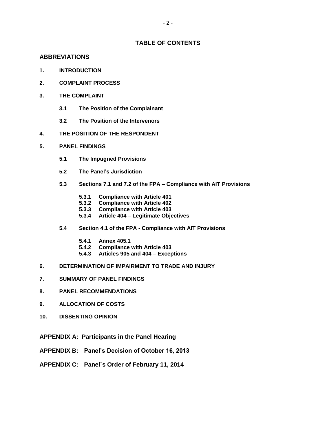#### **TABLE OF CONTENTS**

#### **ABBREVIATIONS**

- **1. INTRODUCTION**
- **2. COMPLAINT PROCESS**
- **3. THE COMPLAINT**
	- **3.1 The Position of the Complainant**
	- **3.2 The Position of the Intervenors**
- **4. THE POSITION OF THE RESPONDENT**
- **5. PANEL FINDINGS**
	- **5.1 The Impugned Provisions**
	- **5.2 The Panel's Jurisdiction**
	- **5.3 Sections 7.1 and 7.2 of the FPA – Compliance with AIT Provisions**
		- **5.3.1 Compliance with Article 401**
		- **5.3.2 Compliance with Article 402**
		- **5.3.3 Compliance with Article 403**
		- **5.3.4 Article 404 – Legitimate Objectives**
	- **5.4 Section 4.1 of the FPA - Compliance with AIT Provisions**
		- **5.4.1 Annex 405.1**
		- **5.4.2 Compliance with Article 403**
		- **5.4.3 Articles 905 and 404 – Exceptions**
- **6. DETERMINATION OF IMPAIRMENT TO TRADE AND INJURY**
- **7. SUMMARY OF PANEL FINDINGS**
- **8. PANEL RECOMMENDATIONS**
- **9. ALLOCATION OF COSTS**
- **10. DISSENTING OPINION**
- **APPENDIX A: Participants in the Panel Hearing**
- **APPENDIX B: Panel's Decision of October 16, 2013**
- **APPENDIX C: Panel`s Order of February 11, 2014**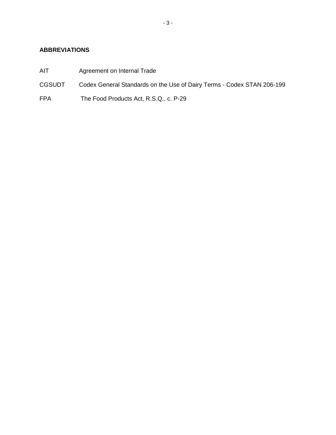# **ABBREVIATIONS**

- AIT Agreement on Internal Trade
- CGSUDT Codex General Standards on the Use of Dairy Terms Codex STAN 206-199
- FPA The Food Products Act, R.S.Q., c. P-29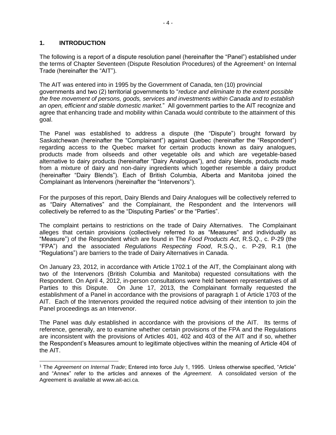#### **1. INTRODUCTION**

The following is a report of a dispute resolution panel (hereinafter the "Panel") established under the terms of Chapter Seventeen (Dispute Resolution Procedures) of the Agreement<sup>1</sup> on Internal Trade (hereinafter the "AIT").

The AIT was entered into in 1995 by the Government of Canada, ten (10) provincial governments and two (2) territorial governments to "*reduce and eliminate to the extent possible the free movement of persons, goods, services and investments within Canada and to establish an open, efficient and stable domestic market.*" All government parties to the AIT recognize and agree that enhancing trade and mobility within Canada would contribute to the attainment of this goal.

The Panel was established to address a dispute (the "Dispute") brought forward by Saskatchewan (hereinafter the "Complainant") against Quebec (hereinafter the "Respondent") regarding access to the Quebec market for certain products known as dairy analogues, products made from oilseeds and other vegetable oils and which are vegetable-based alternative to dairy products (hereinafter "Dairy Analogues"), and dairy blends, products made from a mixture of dairy and non-dairy ingredients which together resemble a dairy product (hereinafter "Dairy Blends"). Each of British Columbia, Alberta and Manitoba joined the Complainant as Intervenors (hereinafter the "Intervenors").

For the purposes of this report, Dairy Blends and Dairy Analogues will be collectively referred to as "Dairy Alternatives" and the Complainant, the Respondent and the Intervenors will collectively be referred to as the "Disputing Parties" or the "Parties".

The complaint pertains to restrictions on the trade of Dairy Alternatives. The Complainant alleges that certain provisions (collectively referred to as "Measures" and individually as "Measure") of the Respondent which are found in The *Food Products Act*, R.S.Q., c. P-29 (the "FPA") and the associated *Regulations Respecting Food*, R.S.Q., c. P-29, R.1 (the "Regulations") are barriers to the trade of Dairy Alternatives in Canada.

On January 23, 2012, in accordance with Article 1702.1 of the AIT, the Complainant along with two of the Intervenors (British Columbia and Manitoba) requested consultations with the Respondent. On April 4, 2012, in-person consultations were held between representatives of all Parties to this Dispute. On June 17, 2013, the Complainant formally requested the establishment of a Panel in accordance with the provisions of paragraph 1 of Article 1703 of the AIT. Each of the Intervenors provided the required notice advising of their intention to join the Panel proceedings as an Intervenor.

The Panel was duly established in accordance with the provisions of the AIT. Its terms of reference, generally, are to examine whether certain provisions of the FPA and the Regulations are inconsistent with the provisions of Articles 401, 402 and 403 of the AIT and if so, whether the Respondent's Measures amount to legitimate objectives within the meaning of Article 404 of the AIT.

<sup>1</sup> The *Agreement on Internal Trade*; Entered into force July 1, 1995. Unless otherwise specified, "Article" and "Annex" refer to the articles and annexes of the *Agreement*. A consolidated version of the Agreement is available at www.ait-aci.ca.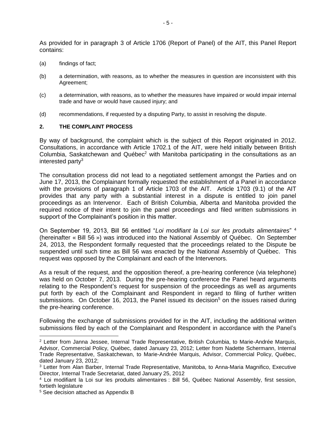As provided for in paragraph 3 of Article 1706 (Report of Panel) of the AIT, this Panel Report contains:

- (a) findings of fact;
- (b) a determination, with reasons, as to whether the measures in question are inconsistent with this Agreement;
- (c) a determination, with reasons, as to whether the measures have impaired or would impair internal trade and have or would have caused injury; and
- (d) recommendations, if requested by a disputing Party, to assist in resolving the dispute.

#### **2. THE COMPLAINT PROCESS**

By way of background, the complaint which is the subject of this Report originated in 2012. Consultations, in accordance with Article 1702.1 of the AIT, were held initially between British Columbia, Saskatchewan and Québec<sup>2</sup> with Manitoba participating in the consultations as an interested party $3$ 

The consultation process did not lead to a negotiated settlement amongst the Parties and on June 17, 2013, the Complainant formally requested the establishment of a Panel in accordance with the provisions of paragraph 1 of Article 1703 of the AIT. Article 1703 (9.1) of the AIT provides that any party with a substantial interest in a dispute is entitled to join panel proceedings as an Intervenor. Each of British Columbia, Alberta and Manitoba provided the required notice of their intent to join the panel proceedings and filed written submissions in support of the Complainant's position in this matter.

On September 19, 2013, Bill 56 entitled "*Loi modifiant la Loi sur les produits alimentaires*" <sup>4</sup> (hereinafter « Bill 56 ») was introduced into the National Assembly of Québec. On September 24, 2013, the Respondent formally requested that the proceedings related to the Dispute be suspended until such time as Bill 56 was enacted by the National Assembly of Québec. This request was opposed by the Complainant and each of the Intervenors.

As a result of the request, and the opposition thereof, a pre-hearing conference (via telephone) was held on October 7, 2013. During the pre-hearing conference the Panel heard arguments relating to the Respondent's request for suspension of the proceedings as well as arguments put forth by each of the Complainant and Respondent in regard to filing of further written submissions. On October 16, 2013, the Panel issued its decision<sup>5</sup> on the issues raised during the pre-hearing conference.

Following the exchange of submissions provided for in the AIT, including the additional written submissions filed by each of the Complainant and Respondent in accordance with the Panel's

 $\overline{a}$ 

<sup>2</sup> Letter from Janna Jessee, Internal Trade Representative, British Columbia, to Marie-Andrée Marquis, Advisor, Commercial Policy, Québec, dated January 23, 2012; Letter from Nadette Schermann, Internal Trade Representative, Saskatchewan, to Marie-Andrée Marquis, Advisor, Commercial Policy, Québec, dated January 23, 2012;

<sup>3</sup> Letter from Alan Barber, Internal Trade Representative, Manitoba, to Anna-Maria Magnifico, Executive Director, Internal Trade Secretariat, dated January 25, 2012

<sup>4</sup> Loi modifiant la Loi sur les produits alimentaires : Bill 56, Québec National Assembly, first session, fortieth legislature

<sup>5</sup> See decision attached as Appendix B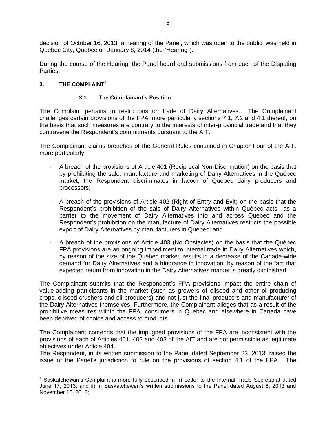decision of October 16, 2013, a hearing of the Panel, which was open to the public, was held in Quebec City, Quebec on January 8, 2014 (the "Hearing").

During the course of the Hearing, the Panel heard oral submissions from each of the Disputing Parties.

#### **3. THE COMPLAINT<sup>6</sup>**

 $\overline{a}$ 

#### **3.1 The Complainant's Position**

The Complaint pertains to restrictions on trade of Dairy Alternatives. The Complainant challenges certain provisions of the FPA, more particularly sections 7.1, 7.2 and 4.1 thereof, on the basis that such measures are contrary to the interests of inter-provincial trade and that they contravene the Respondent's commitments pursuant to the AIT.

The Complainant claims breaches of the General Rules contained in Chapter Four of the AIT, more particularly:

- A breach of the provisions of Article 401 (Reciprocal Non-Discrimation) on the basis that by prohibiting the sale, manufacture and marketing of Dairy Alternatives in the Québec market, the Respondent discriminates in favour of Québec dairy producers and processors;
- A breach of the provisions of Article 402 (Right of Entry and Exit) on the basis that the Respondent's prohibition of the sale of Dairy Alternatives within Québec acts as a barrier to the movement of Dairy Alternatives into and across Québec and the Respondent's prohibition on the manufacture of Dairy Alternatives restricts the possible export of Dairy Alternatives by manufacturers in Québec; and
- A breach of the provisions of Article 403 (No Obstacles) on the basis that the Québec FPA provisions are an ongoing impediment to internal trade in Dairy Alternatives which, by reason of the size of the Québec market, results in a decrease of the Canada-wide demand for Dairy Alternatives and a hindrance in innovation, by reason of the fact that expected return from innovation in the Dairy Alternatives market is greatly diminished.

The Complainant submits that the Respondent's FPA provisions impact the entire chain of value-adding participants in the market (such as growers of oilseed and other oil-producing crops, oilseed crushers and oil producers) and not just the final producers and manufacturer of the Dairy Alternatives themselves. Furthermore, the Complainant alleges that as a result of the prohibitive measures within the FPA, consumers in Quebec and elsewhere in Canada have been deprived of choice and access to products.

The Complainant contends that the impugned provisions of the FPA are inconsistent with the provisions of each of Articles 401, 402 and 403 of the AIT and are not permissible as legitimate objectives under Article 404.

The Respondent, in its written submission to the Panel dated September 23, 2013, raised the issue of the Panel's jurisdiction to rule on the provisions of section 4.1 of the FPA. The

<sup>6</sup> Saskatchewan's Complaint is more fully described in i) Letter to the Internal Trade Secretariat dated June 17, 2013; and ii) in Saskatchewan's written submissions to the Panel dated August 8, 2013 and November 15, 2013;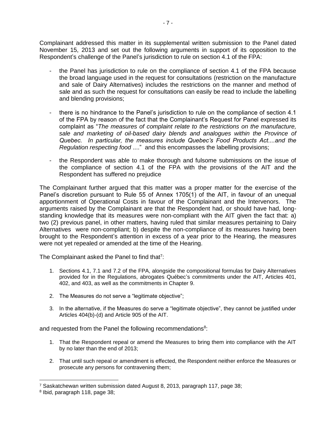Complainant addressed this matter in its supplemental written submission to the Panel dated November 15, 2013 and set out the following arguments in support of its opposition to the Respondent's challenge of the Panel's jurisdiction to rule on section 4.1 of the FPA:

- the Panel has jurisdiction to rule on the compliance of section 4.1 of the FPA because the broad language used in the request for consultations (restriction on the manufacture and sale of Dairy Alternatives) includes the restrictions on the manner and method of sale and as such the request for consultations can easily be read to include the labelling and blending provisions;
- there is no hindrance to the Panel's jurisdiction to rule on the compliance of section 4.1 of the FPA by reason of the fact that the Complainant's Request for Panel expressed its complaint as "*The measures of complaint relate to the restrictions on the manufacture, sale and marketing of oil-based dairy blends and analogues within the Province of Quebec. In particular, the measures include Quebec's Food Products Act....and the Regulation respecting food* ...." and this encompasses the labelling provisions;
- the Respondent was able to make thorough and fulsome submissions on the issue of the compliance of section 4.1 of the FPA with the provisions of the AIT and the Respondent has suffered no prejudice

The Complainant further argued that this matter was a proper matter for the exercise of the Panel's discretion pursuant to Rule 55 of Annex 1705(1) of the AIT, in favour of an unequal apportionment of Operational Costs in favour of the Complainant and the Intervenors. The arguments raised by the Complainant are that the Respondent had, or should have had, longstanding knowledge that its measures were non-compliant with the AIT given the fact that: a) two (2) previous panel, in other matters, having ruled that similar measures pertaining to Dairy Alternatives were non-compliant; b) despite the non-compliance of its measures having been brought to the Respondent's attention in excess of a year prior to the Hearing, the measures were not yet repealed or amended at the time of the Hearing.

The Complainant asked the Panel to find that $7$ :

- 1. Sections 4.1, 7.1 and 7.2 of the FPA, alongside the compositional formulas for Dairy Alternatives provided for in the Regulations, abrogates Québec's commitments under the AIT, Articles 401, 402, and 403, as well as the commitments in Chapter 9.
- 2. The Measures do not serve a "legitimate objective";
- 3. In the alternative, if the Measures do serve a "legitimate objective", they cannot be justified under Articles 404(b)-(d) and Article 905 of the AIT.

and requested from the Panel the following recommendations<sup>8</sup>:

- 1. That the Respondent repeal or amend the Measures to bring them into compliance with the AIT by no later than the end of 2013;
- 2. That until such repeal or amendment is effected, the Respondent neither enforce the Measures or prosecute any persons for contravening them;

<sup>7</sup> Saskatchewan written submission dated August 8, 2013, paragraph 117, page 38;

<sup>8</sup> Ibid, paragraph 118, page 38;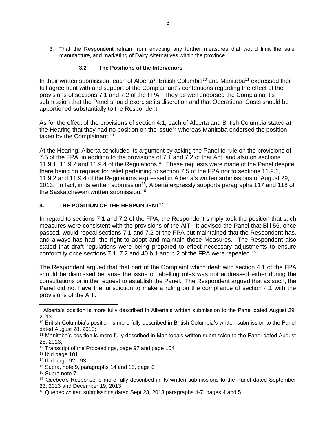3. That the Respondent refrain from enacting any further measures that would limit the sale, manufacture, and marketing of Dairy Alternatives within the province.

#### **3.2 The Positions of the Intervenors**

In their written submission, each of Alberta<sup>9</sup>, British Columbia<sup>10</sup> and Manitoba<sup>11</sup> expressed their full agreement with and support of the Complainant's contentions regarding the effect of the provisions of sections 7.1 and 7.2 of the FPA. They as well endorsed the Complainant's submission that the Panel should exercise its discretion and that Operational Costs should be apportioned substantially to the Respondent.

As for the effect of the provisions of section 4.1, each of Alberta and British Columbia stated at the Hearing that they had no position on the issue<sup>12</sup> whereas Manitoba endorsed the position taken by the Complainant.<sup>13</sup>

At the Hearing, Alberta concluded its argument by asking the Panel to rule on the provisions of 7.5 of the FPA, in addition to the provisions of 7.1 and 7.2 of that Act, and also on sections 11.9.1, 11.9.2 and 11.9.4 of the Regulations<sup>14</sup>. These requests were made of the Panel despite there being no request for relief pertaining to section 7.5 of the FPA nor to sections 11.9.1, 11.9.2 and 11.9.4 of the Regulations expressed in Alberta's written submissions of August 29, 2013. In fact, in its written submission<sup>15</sup>, Alberta expressly supports paragraphs 117 and 118 of the Saskatchewan written submission.<sup>16</sup>

#### **4. THE POSITION OF THE RESPONDENT<sup>17</sup>**

In regard to sections 7.1 and 7.2 of the FPA, the Respondent simply took the position that such measures were consistent with the provisions of the AIT. It advised the Panel that Bill 56, once passed, would repeal sections 7.1 and 7.2 of the FPA but maintained that the Respondent has, and always has had, the right to adopt and maintain those Measures. The Respondent also stated that draft regulations were being prepared to effect necessary adjustments to ensure conformity once sections 7.1, 7.2 and 40 b.1 and b.2 of the FPA were repealed.<sup>18</sup>

The Respondent argued that that part of the Complaint which dealt with section 4.1 of the FPA should be dismissed because the issue of labelling rules was not addressed either during the consultations or in the request to establish the Panel. The Respondent argued that as such, the Panel did not have the jurisdiction to make a ruling on the compliance of section 4.1 with the provisions of the AIT.

<sup>9</sup> Alberta's position is more fully described in Alberta's written submission to the Panel dated August 29, 2013

<sup>10</sup> British Columbia's position is more fully described in British Columbia's written submission to the Panel dated August 28, 2013;

<sup>&</sup>lt;sup>11</sup> Manitoba's position is more fully described in Manitoba's written submission to the Panel dated August 28, 2013;

<sup>&</sup>lt;sup>12</sup> Transcript of the Proceedings, page 97 and page 104

<sup>13</sup> Ibid page 101

<sup>14</sup> Ibid page 92 - 93

<sup>15</sup> Supra, note 9, paragraphs 14 and 15, page 6

<sup>16</sup> Supra note 7;

<sup>&</sup>lt;sup>17</sup> Quebec's Response is more fully described in its written submissions to the Panel dated September 23, 2013 and December 19, 2013;

<sup>&</sup>lt;sup>18</sup> Québec written submissions dated Sept 23, 2013 paragraphs 4-7, pages 4 and 5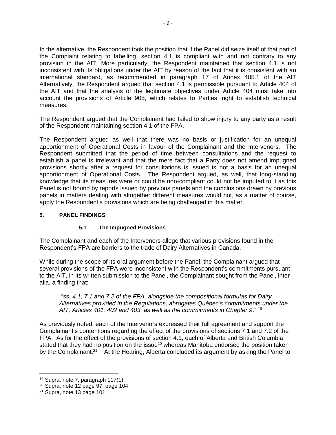In the alternative, the Respondent took the position that if the Panel did seize itself of that part of the Complaint relating to labelling, section 4.1 is compliant with and not contrary to any provision in the AIT. More particularly, the Respondent maintained that section 4.1 is not inconsistent with its obligations under the AIT by reason of the fact that it is consistent with an international standard, as recommended in paragraph 17 of Annex 405.1 of the AIT Alternatively, the Respondent argued that section 4.1 is permissible pursuant to Article 404 of the AIT and that the analysis of the legitimate objectives under Article 404 must take into account the provisions of Article 905, which relates to Parties' right to establish technical measures.

The Respondent argued that the Complainant had failed to show injury to any party as a result of the Respondent maintaining section 4.1 of the FPA.

The Respondent argued as well that there was no basis or justification for an unequal apportionment of Operational Costs in favour of the Complainant and the Intervenors. The Respondent submitted that the period of time between consultations and the request to establish a panel is irrelevant and that the mere fact that a Party does not amend impugned provisions shortly after a request for consultations is issued is not a basis for an unequal apportionment of Operational Costs. The Respondent argued, as well, that long-standing knowledge that its measures were or could be non-compliant could not be imputed to it as this Panel is not bound by reports issued by previous panels and the conclusions drawn by previous panels in matters dealing with altogether different measures would not, as a matter of course, apply the Respondent's provisions which are being challenged in this matter.

#### **5. PANEL FINDINGS**

### **5.1 The Impugned Provisions**

The Complainant and each of the Intervenors allege that various provisions found in the Respondent's FPA are barriers to the trade of Dairy Alternatives in Canada.

While during the scope of its oral argument before the Panel, the Complainant argued that several provisions of the FPA were inconsistent with the Respondent's commitments pursuant to the AIT, in its written submission to the Panel, the Complainant sought from the Panel, inter alia, a finding that:

"*ss. 4.1, 7.1 and 7.2 of the FPA, alongside the compositional formulas for Dairy Alternatives provided in the Regulations, abrogates Québec's commitments under the AIT, Articles 401, 402 and 403, as well as the commitments in Chapter 9*." <sup>19</sup>

As previously noted, each of the Intervenors expressed their full agreement and support the Complainant's contentions regarding the effect of the provisions of sections 7.1 and 7.2 of the FPA. As for the effect of the provisions of section 4.1, each of Alberta and British Columbia stated that they had no position on the issue<sup>20</sup> whereas Manitoba endorsed the position taken by the Complainant.<sup>21</sup> At the Hearing, Alberta concluded its argument by asking the Panel to

 $\overline{a}$ 

<sup>19</sup> Supra, note 7, paragraph 117(1)

<sup>20</sup> Supra, note 12 page 97, page 104

<sup>21</sup> Supra, note 13 page 101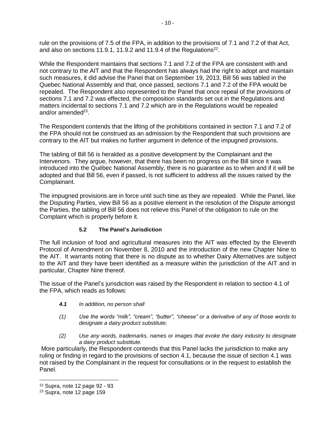rule on the provisions of 7.5 of the FPA, in addition to the provisions of 7.1 and 7.2 of that Act, and also on sections 11.9.1, 11.9.2 and 11.9.4 of the Regulations<sup>22</sup>.

While the Respondent maintains that sections 7.1 and 7.2 of the FPA are consistent with and not contrary to the AIT and that the Respondent has always had the right to adopt and maintain such measures, it did advise the Panel that on September 19, 2013, Bill 56 was tabled in the Quebec National Assembly and that, once passed, sections 7.1 and 7.2 of the FPA would be repealed. The Respondent also represented to the Panel that once repeal of the provisions of sections 7.1 and 7.2 was effected, the composition standards set out in the Regulations and matters incidental to sections 7.1 and 7.2 which are in the Regulations would be repealed and/or amended<sup>23</sup>.

The Respondent contends that the lifting of the prohibitions contained in section 7.1 and 7.2 of the FPA should not be construed as an admission by the Respondent that such provisions are contrary to the AIT but makes no further argument in defence of the impugned provisions.

The tabling of Bill 56 is heralded as a positive development by the Complainant and the Intervenors. They argue, however, that there has been no progress on the Bill since it was introduced into the Québec National Assembly, there is no guarantee as to when and if it will be adopted and that Bill 56, even if passed, is not sufficient to address all the issues raised by the Complainant.

The impugned provisions are in force until such time as they are repealed. While the Panel, like the Disputing Parties, view Bill 56 as a positive element in the resolution of the Dispute amongst the Parties, the tabling of Bill 56 does not relieve this Panel of the obligation to rule on the Complaint which is properly before it.

# **5.2 The Panel's Jurisdiction**

The full inclusion of food and agricultural measures into the AIT was effected by the Eleventh Protocol of Amendment on November 8, 2010 and the introduction of the new Chapter Nine to the AIT. It warrants noting that there is no dispute as to whether Dairy Alternatives are subject to the AIT and they have been identified as a measure within the jurisdiction of the AIT and in particular, Chapter Nine thereof.

The issue of the Panel's jurisdiction was raised by the Respondent in relation to section 4.1 of the FPA, which reads as follows:

- *4.1 In addition, no person shall*
- *(1) Use the words "milk", "cream", "butter", "cheese" or a derivative of any of those words to designate a dairy product substitute;*
- *(2) Use any words, trademarks, names or images that evoke the dairy industry to designate a dairy product substitute.*

More particularly, the Respondent contends that this Panel lacks the jurisdiction to make any ruling or finding in regard to the provisions of section 4.1, because the issue of section 4.1 was not raised by the Complainant in the request for consultations or in the request to establish the Panel.

<sup>22</sup> Supra, note 12 page 92 - 93

<sup>23</sup> Supra, note 12 page 159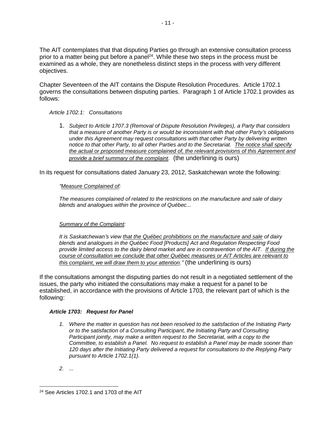The AIT contemplates that that disputing Parties go through an extensive consultation process prior to a matter being put before a panel<sup>24</sup>. While these two steps in the process must be examined as a whole, they are nonetheless distinct steps in the process with very different objectives.

Chapter Seventeen of the AIT contains the Dispute Resolution Procedures. Article 1702.1 governs the consultations between disputing parties. Paragraph 1 of Article 1702.1 provides as follows:

#### *Article 1702.1: Consultations*

1. *Subject to Article 1707.3 (Removal of Dispute Resolution Privileges), a Party that considers that a measure of another Party is or would be inconsistent with that other Party's obligations under this Agreement may request consultations with that other Party by delivering written notice to that other Party, to all other Parties and to the Secretariat. The notice shall specify the actual or proposed measure complained of, the relevant provisions of this Agreement and provide a brief summary of the complaint.* (the underlining is ours)

In its request for consultations dated January 23, 2012, Saskatchewan wrote the following:

### *"Measure Complained of:*

*The measures complained of related to the restrictions on the manufacture and sale of dairy blends and analogues within the province of Québec...*

### *Summary of the Complaint:*

*It is Saskatchewan's view that the Québec prohibitions on the manufacture and sale of dairy blends and analogues in the Québec Food [Products] Act and Regulation Respecting Food provide limited access to the dairy blend market and are in contravention of the AIT. If during the course of consultation we conclude that other Québec measures or AIT Articles are relevant to this complaint, we will draw them to your attention."* (the underlining is ours)

If the consultations amongst the disputing parties do not result in a negotiated settlement of the issues, the party who initiated the consultations may make a request for a panel to be established, in accordance with the provisions of Article 1703, the relevant part of which is the following:

### *Article 1703: Request for Panel*

- *1. Where the matter in question has not been resolved to the satisfaction of the Initiating Party or to the satisfaction of a Consulting Participant, the Initiating Party and Consulting Participant jointly, may make a written request to the Secretariat, with a copy to the Committee, to establish a Panel. No request to establish a Panel may be made sooner than 120 days after the Initiating Party delivered a request for consultations to the Replying Party pursuant to Article 1702.1(1).*
- *2. ...*

 <sup>24</sup> See Articles 1702.1 and 1703 of the AIT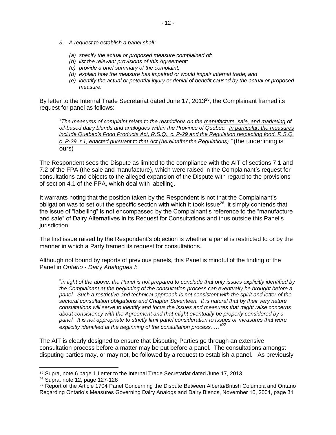- *3. A request to establish a panel shall:*
	- *(a) specify the actual or proposed measure complained of;*
	- *(b) list the relevant provisions of this Agreement;*
	- *(c) provide a brief summary of the complaint;*
	- *(d) explain how the measure has impaired or would impair internal trade; and*
	- *(e) identify the actual or potential injury or denial of benefit caused by the actual or proposed measure.*

By letter to the Internal Trade Secretariat dated June 17, 2013 $^{25}$ , the Complainant framed its request for panel as follows:

*"The measures of complaint relate to the restrictions on the manufacture, sale, and marketing of oil-based dairy blends and analogues within the Province of Québec. In particular, the measures include Quebec's Food Products Act, R.S.Q., c. P-29 and the Regulation respecting food, R.S.Q. c. P-29, r.1, enacted pursuant to that Act (hereinafter the Regulations)."* (the underlining is ours)

The Respondent sees the Dispute as limited to the compliance with the AIT of sections 7.1 and 7.2 of the FPA (the sale and manufacture), which were raised in the Complainant's request for consultations and objects to the alleged expansion of the Dispute with regard to the provisions of section 4.1 of the FPA, which deal with labelling.

It warrants noting that the position taken by the Respondent is not that the Complainant's obligation was to set out the specific section with which it took issue $^{26}$ , it simply contends that the issue of "labelling" is not encompassed by the Complainant's reference to the "manufacture and sale" of Dairy Alternatives in its Request for Consultations and thus outside this Panel's jurisdiction.

The first issue raised by the Respondent's objection is whether a panel is restricted to or by the manner in which a Party framed its request for consultations.

Although not bound by reports of previous panels, this Panel is mindful of the finding of the Panel in *Ontario - Dairy Analogues I*:

"*in light of the above, the Panel is not prepared to conclude that only issues explicitly identified by the Complainant at the beginning of the consultation process can eventually be brought before a panel. Such a restrictive and technical approach is not consistent with the spirit and letter of the sectoral consultation obligations and Chapter Seventeen. It is natural that by their very nature consultations will serve to identify and focus the issues and measures that might raise concerns about consistency with the Agreement and that might eventually be properly considered by a*  panel. It is not appropriate to strictly limit panel consideration to issues or measures that were *explicitly identified at the beginning of the consultation process. ..." 27*

The AIT is clearly designed to ensure that Disputing Parties go through an extensive consultation process before a matter may be put before a panel. The consultations amongst disputing parties may, or may not, be followed by a request to establish a panel. As previously

 <sup>25</sup> Supra, note 6 page 1 Letter to the Internal Trade Secretariat dated June 17, 2013

<sup>26</sup> Supra, note 12, page 127-128

<sup>&</sup>lt;sup>27</sup> Report of the Article 1704 Panel Concerning the Dispute Between Alberta/British Columbia and Ontario Regarding Ontario's Measures Governing Dairy Analogs and Dairy Blends, November 10, 2004, page 31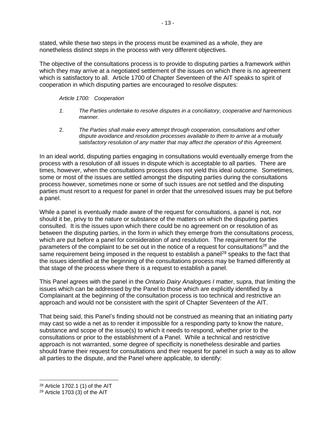stated, while these two steps in the process must be examined as a whole, they are nonetheless distinct steps in the process with very different objectives.

The objective of the consultations process is to provide to disputing parties a framework within which they may arrive at a negotiated settlement of the issues on which there is no agreement which is satisfactory to all. Article 1700 of Chapter Seventeen of the AIT speaks to spirit of cooperation in which disputing parties are encouraged to resolve disputes:

#### *Article 1700: Cooperation*

- *1. The Parties undertake to resolve disputes in a conciliatory, cooperative and harmonious manner.*
- 2. *The Parties shall make every attempt through cooperation, consultations and other dispute avoidance and resolution processes available to them to arrive at a mutually satisfactory resolution of any matter that may affect the operation of this Agreement.*

In an ideal world, disputing parties engaging in consultations would eventually emerge from the process with a resolution of all issues in dispute which is acceptable to all parties. There are times, however, when the consultations process does not yield this ideal outcome. Sometimes, some or most of the issues are settled amongst the disputing parties during the consultations process however, sometimes none or some of such issues are not settled and the disputing parties must resort to a request for panel in order that the unresolved issues may be put before a panel.

While a panel is eventually made aware of the request for consultations, a panel is not, nor should it be, privy to the nature or substance of the matters on which the disputing parties consulted. It is the issues upon which there could be no agreement on or resolution of as between the disputing parties, in the form in which they emerge from the consultations process, which are put before a panel for consideration of and resolution. The requirement for the parameters of the complaint to be set out in the notice of a request for consultations<sup>28</sup> and the same requirement being imposed in the request to establish a panel<sup>29</sup> speaks to the fact that the issues identified at the beginning of the consultations process may be framed differently at that stage of the process where there is a request to establish a panel.

This Panel agrees with the panel in the *Ontario Dairy Analogues I* matter, supra, that limiting the issues which can be addressed by the Panel to those which are explicitly identified by a Complainant at the beginning of the consultation process is too technical and restrictive an approach and would not be consistent with the spirit of Chapter Seventeen of the AIT.

That being said, this Panel's finding should not be construed as meaning that an initiating party may cast so wide a net as to render it impossible for a responding party to know the nature, substance and scope of the issue(s) to which it needs to respond, whether prior to the consultations or prior to the establishment of a Panel. While a technical and restrictive approach is not warranted, some degree of specificity is nonetheless desirable and parties should frame their request for consultations and their request for panel in such a way as to allow all parties to the dispute, and the Panel where applicable, to identify:

<sup>28</sup> Article 1702.1 (1) of the AIT

 $29$  Article 1703 (3) of the AIT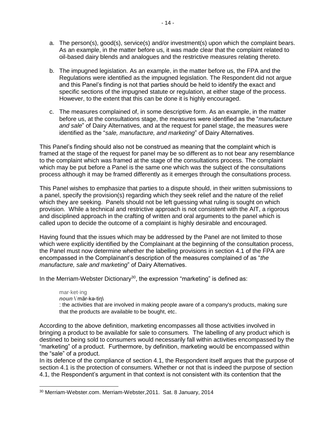- a. The person(s), good(s), service(s) and/or investment(s) upon which the complaint bears. As an example, in the matter before us, it was made clear that the complaint related to oil-based dairy blends and analogues and the restrictive measures relating thereto.
- b. The impugned legislation. As an example, in the matter before us, the FPA and the Regulations were identified as the impugned legislation. The Respondent did not argue and this Panel's finding is not that parties should be held to identify the exact and specific sections of the impugned statute or regulation, at either stage of the process. However, to the extent that this can be done it is highly encouraged.
- c. The measures complained of, in some descriptive form. As an example, in the matter before us, at the consultations stage, the measures were identified as the "*manufacture and sale*" of Dairy Alternatives, and at the request for panel stage, the measures were identified as the "*sale, manufacture, and marketing*" of Dairy Alternatives.

This Panel's finding should also not be construed as meaning that the complaint which is framed at the stage of the request for panel may be so different as to not bear any resemblance to the complaint which was framed at the stage of the consultations process. The complaint which may be put before a Panel is the same one which was the subject of the consultations process although it may be framed differently as it emerges through the consultations process.

This Panel wishes to emphasize that parties to a dispute should, in their written submissions to a panel, specify the provision(s) regarding which they seek relief and the nature of the relief which they are seeking. Panels should not be left guessing what ruling is sought on which provision. While a technical and restrictive approach is not consistent with the AIT, a rigorous and disciplined approach in the crafting of written and oral arguments to the panel which is called upon to decide the outcome of a complaint is highly desirable and encouraged.

Having found that the issues which may be addressed by the Panel are not limited to those which were explicitly identified by the Complainant at the beginning of the consultation process, the Panel must now determine whether the labelling provisions in section 4.1 of the FPA are encompassed in the Complainant's description of the measures complained of as "*the manufacture, sale and marketing*" of Dairy Alternatives.

In the Merriam-Webster Dictionary<sup>30</sup>, the expression "marketing" is defined as:

mar·ket·ing *noun* \ˈmär-kə-tiŋ\ : the activities that are involved in making people aware of a company's products, making sure that the products are available to be bought, etc.

According to the above definition, marketing encompasses all those activities involved in bringing a product to be available for sale to consumers. The labelling of any product which is destined to being sold to consumers would necessarily fall within activities encompassed by the "marketing" of a product. Furthermore, by definition, marketing would be encompassed within the "sale" of a product.

In its defence of the compliance of section 4.1, the Respondent itself argues that the purpose of section 4.1 is the protection of consumers. Whether or not that is indeed the purpose of section 4.1, the Respondent's argument in that context is not consistent with its contention that the

<sup>30</sup> Merriam-Webster.com. Merriam-Webster,2011. Sat. 8 January, 2014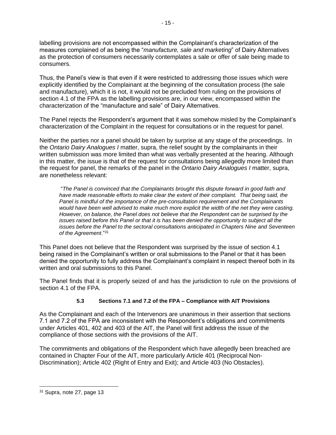labelling provisions are not encompassed within the Complainant's characterization of the measures complained of as being the "*manufacture, sale and marketing*" of Dairy Alternatives as the protection of consumers necessarily contemplates a sale or offer of sale being made to consumers.

Thus, the Panel's view is that even if it were restricted to addressing those issues which were explicitly identified by the Complainant at the beginning of the consultation process (the sale and manufacture), which it is not, it would not be precluded from ruling on the provisions of section 4.1 of the FPA as the labelling provisions are, in our view, encompassed within the characterization of the "manufacture and sale" of Dairy Alternatives.

The Panel rejects the Respondent's argument that it was somehow misled by the Complainant's characterization of the Complaint in the request for consultations or in the request for panel.

Neither the parties nor a panel should be taken by surprise at any stage of the proceedings. In the *Ontario Dairy Analogues I* matter, supra, the relief sought by the complainants in their written submission was more limited than what was verbally presented at the hearing. Although in this matter, the issue is that of the request for consultations being allegedly more limited than the request for panel, the remarks of the panel in the *Ontario Dairy Analogues I* matter, supra, are nonetheless relevant:

"*The Panel is convinced that the Complainants brought this dispute forward in good faith and have made reasonable efforts to make clear the extent of their complaint. That being said, the Panel is mindful of the importance of the pre-consultation requirement and the Complainants would have been well advised to make much more explicit the width of the net they were casting. However, on balance, the Panel does not believe that the Respondent can be surprised by the issues raised before this Panel or that it is has been denied the opportunity to subject all the issues before the Panel to the sectoral consultations anticipated in Chapters Nine and Seventeen of the Agreement*."<sup>31</sup>

This Panel does not believe that the Respondent was surprised by the issue of section 4.1 being raised in the Complainant's written or oral submissions to the Panel or that it has been denied the opportunity to fully address the Complainant's complaint in respect thereof both in its written and oral submissions to this Panel.

The Panel finds that it is properly seized of and has the jurisdiction to rule on the provisions of section 4.1 of the FPA.

# **5.3 Sections 7.1 and 7.2 of the FPA – Compliance with AIT Provisions**

As the Complainant and each of the Intervenors are unanimous in their assertion that sections 7.1 and 7.2 of the FPA are inconsistent with the Respondent's obligations and commitments under Articles 401, 402 and 403 of the AIT, the Panel will first address the issue of the compliance of those sections with the provisions of the AIT.

The commitments and obligations of the Respondent which have allegedly been breached are contained in Chapter Four of the AIT, more particularly Article 401 (Reciprocal Non-Discrimination); Article 402 (Right of Entry and Exit); and Article 403 (No Obstacles).

<sup>31</sup> Supra, note 27, page 13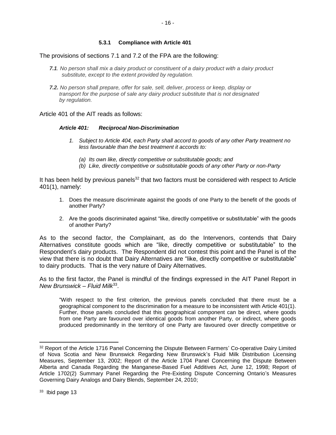#### **5.3.1 Compliance with Article 401**

The provisions of sections 7.1 and 7.2 of the FPA are the following:

- *7.1. No person shall mix a dairy product or constituent of a dairy product with a dairy product substitute, except to the extent provided by regulation.*
- *7.2. No person shall prepare, offer for sale, sell, deliver, process or keep, display or transport for the purpose of sale any dairy product substitute that is not designated by regulation.*

#### Article 401 of the AIT reads as follows:

#### *Article 401: Reciprocal Non-Discrimination*

- *1. Subject to Article 404, each Party shall accord to goods of any other Party treatment no less favourable than the best treatment it accords to:*
	- *(a) Its own like, directly competitive or substitutable goods; and*
	- *(b) Like, directly competitive or substitutable goods of any other Party or non-Party*

It has been held by previous panels<sup>32</sup> that two factors must be considered with respect to Article 401(1), namely:

- 1. Does the measure discriminate against the goods of one Party to the benefit of the goods of another Party?
- 2. Are the goods discriminated against "like, directly competitive or substitutable" with the goods of another Party?

As to the second factor, the Complainant, as do the Intervenors, contends that Dairy Alternatives constitute goods which are "like, directly competitive or substitutable" to the Respondent's dairy products. The Respondent did not contest this point and the Panel is of the view that there is no doubt that Dairy Alternatives are "like, directly competitive or substitutable" to dairy products. That is the very nature of Dairy Alternatives.

As to the first factor, the Panel is mindful of the findings expressed in the AIT Panel Report in *New Brunswick – Fluid Milk*<sup>33</sup> .

"With respect to the first criterion, the previous panels concluded that there must be a geographical component to the discrimination for a measure to be inconsistent with Article 401(1). Further, those panels concluded that this geographical component can be direct, where goods from one Party are favoured over identical goods from another Party, or indirect, where goods produced predominantly in the territory of one Party are favoured over directly competitive or

<sup>32</sup> Report of the Article 1716 Panel Concerning the Dispute Between Farmers' Co-operative Dairy Limited of Nova Scotia and New Brunswick Regarding New Brunswick's Fluid Milk Distribution Licensing Measures, September 13, 2002; Report of the Article 1704 Panel Concerning the Dispute Between Alberta and Canada Regarding the Manganese-Based Fuel Additives Act, June 12, 1998; Report of Article 1702(2) Summary Panel Regarding the Pre-Existing Dispute Concerning Ontario's Measures Governing Dairy Analogs and Dairy Blends, September 24, 2010;

<sup>&</sup>lt;sup>33</sup> Ibid page 13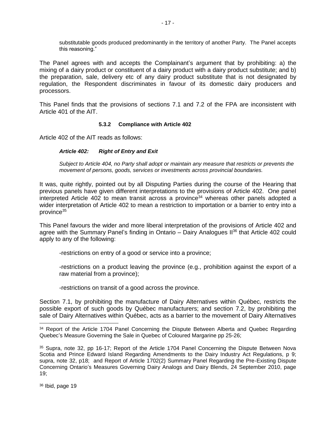substitutable goods produced predominantly in the territory of another Party. The Panel accepts this reasoning."

The Panel agrees with and accepts the Complainant's argument that by prohibiting: a) the mixing of a dairy product or constituent of a dairy product with a dairy product substitute; and b) the preparation, sale, delivery etc of any dairy product substitute that is not designated by regulation, the Respondent discriminates in favour of its domestic dairy producers and processors.

This Panel finds that the provisions of sections 7.1 and 7.2 of the FPA are inconsistent with Article 401 of the AIT.

#### **5.3.2 Compliance with Article 402**

Article 402 of the AIT reads as follows:

#### *Article 402: Right of Entry and Exit*

*Subject to Article 404, no Party shall adopt or maintain any measure that restricts or prevents the movement of persons, goods, services or investments across provincial boundaries.*

It was, quite rightly, pointed out by all Disputing Parties during the course of the Hearing that previous panels have given different interpretations to the provisions of Article 402. One panel interpreted Article 402 to mean transit across a province $34$  whereas other panels adopted a wider interpretation of Article 402 to mean a restriction to importation or a barrier to entry into a province<sup>35</sup>

This Panel favours the wider and more liberal interpretation of the provisions of Article 402 and agree with the Summary Panel's finding in Ontario  $-$  Dairy Analogues II<sup>36</sup> that Article 402 could apply to any of the following:

-restrictions on entry of a good or service into a province;

-restrictions on a product leaving the province (e.g., prohibition against the export of a raw material from a province);

-restrictions on transit of a good across the province.

Section 7.1, by prohibiting the manufacture of Dairy Alternatives within Québec, restricts the possible export of such goods by Québec manufacturers; and section 7.2, by prohibiting the sale of Dairy Alternatives within Québec, acts as a barrier to the movement of Dairy Alternatives

<sup>36</sup> Ibid, page 19

 $\overline{a}$ 

<sup>&</sup>lt;sup>34</sup> Report of the Article 1704 Panel Concerning the Dispute Between Alberta and Quebec Regarding Quebec's Measure Governing the Sale in Quebec of Coloured Margarine pp 25-26;

<sup>35</sup> Supra, note 32, pp 16-17; Report of the Article 1704 Panel Concerning the Dispute Between Nova Scotia and Prince Edward Island Regarding Amendments to the Dairy Industry Act Regulations, p 9; supra, note 32, p18; and Report of Article 1702(2) Summary Panel Regarding the Pre-Existing Dispute Concerning Ontario's Measures Governing Dairy Analogs and Dairy Blends, 24 September 2010, page 19;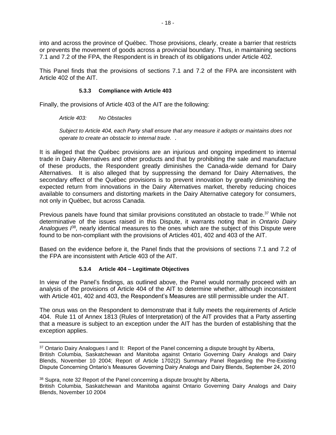into and across the province of Québec. Those provisions, clearly, create a barrier that restricts or prevents the movement of goods across a provincial boundary. Thus, in maintaining sections 7.1 and 7.2 of the FPA, the Respondent is in breach of its obligations under Article 402.

This Panel finds that the provisions of sections 7.1 and 7.2 of the FPA are inconsistent with Article 402 of the AIT.

#### **5.3.3 Compliance with Article 403**

Finally, the provisions of Article 403 of the AIT are the following:

*Article 403: No Obstacles*

*Subject to Article 404, each Party shall ensure that any measure it adopts or maintains does not operate to create an obstacle to internal trade. .*

It is alleged that the Québec provisions are an injurious and ongoing impediment to internal trade in Dairy Alternatives and other products and that by prohibiting the sale and manufacture of these products, the Respondent greatly diminishes the Canada-wide demand for Dairy Alternatives. It is also alleged that by suppressing the demand for Dairy Alternatives, the secondary effect of the Québec provisions is to prevent innovation by greatly diminishing the expected return from innovations in the Dairy Alternatives market, thereby reducing choices available to consumers and distorting markets in the Dairy Alternative category for consumers, not only in Québec, but across Canada.

Previous panels have found that similar provisions constituted an obstacle to trade.<sup>37</sup> While not determinative of the issues raised in this Dispute, it warrants noting that in *Ontario Dairy*  Analogues  $\beta^8$ , nearly identical measures to the ones which are the subject of this Dispute were found to be non-compliant with the provisions of Articles 401, 402 and 403 of the AIT.

Based on the evidence before it, the Panel finds that the provisions of sections 7.1 and 7.2 of the FPA are inconsistent with Article 403 of the AIT.

### **5.3.4 Article 404 – Legitimate Objectives**

In view of the Panel's findings, as outlined above, the Panel would normally proceed with an analysis of the provisions of Article 404 of the AIT to determine whether, although inconsistent with Article 401, 402 and 403, the Respondent's Measures are still permissible under the AIT.

The onus was on the Respondent to demonstrate that it fully meets the requirements of Article 404. Rule 11 of Annex 1813 (Rules of Interpretation) of the AIT provides that a Party asserting that a measure is subject to an exception under the AIT has the burden of establishing that the exception applies.

<sup>38</sup> Supra, note 32 Report of the Panel concerning a dispute brought by Alberta,

 <sup>37</sup> Ontario Dairy Analogues I and II: Report of the Panel concerning a dispute brought by Alberta,

British Columbia, Saskatchewan and Manitoba against Ontario Governing Dairy Analogs and Dairy Blends, November 10 2004; Report of Article 1702(2) Summary Panel Regarding the Pre-Existing Dispute Concerning Ontario's Measures Governing Dairy Analogs and Dairy Blends, September 24, 2010

British Columbia, Saskatchewan and Manitoba against Ontario Governing Dairy Analogs and Dairy Blends, November 10 2004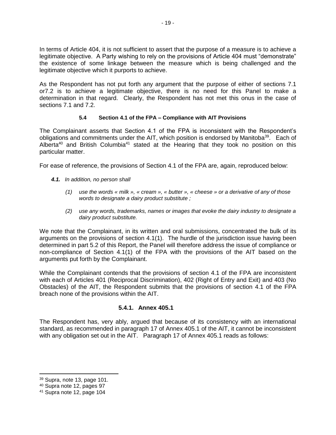In terms of Article 404, it is not sufficient to assert that the purpose of a measure is to achieve a legitimate objective. A Party wishing to rely on the provisions of Article 404 must "demonstrate" the existence of some linkage between the measure which is being challenged and the legitimate objective which it purports to achieve.

As the Respondent has not put forth any argument that the purpose of either of sections 7.1 or7.2 is to achieve a legitimate objective, there is no need for this Panel to make a determination in that regard. Clearly, the Respondent has not met this onus in the case of sections 7.1 and 7.2.

### **5.4 Section 4.1 of the FPA – Compliance with AIT Provisions**

The Complainant asserts that Section 4.1 of the FPA is inconsistent with the Respondent's obligations and commitments under the AIT, which position is endorsed by Manitoba<sup>39</sup>. Each of Alberta<sup>40</sup> and British Columbia<sup>41</sup> stated at the Hearing that they took no position on this particular matter.

For ease of reference, the provisions of Section 4.1 of the FPA are, again, reproduced below:

- *4.1. In addition, no person shall*
	- *(1) use the words « milk », « cream », « butter », « cheese » or a derivative of any of those words to designate a dairy product substitute ;*
	- *(2) use any words, trademarks, names or images that evoke the dairy industry to designate a dairy product substitute.*

We note that the Complainant, in its written and oral submissions, concentrated the bulk of its arguments on the provisions of section 4.1(1). The hurdle of the jurisdiction issue having been determined in part 5.2 of this Report, the Panel will therefore address the issue of compliance or non-compliance of Section 4.1(1) of the FPA with the provisions of the AIT based on the arguments put forth by the Complainant.

While the Complainant contends that the provisions of section 4.1 of the FPA are inconsistent with each of Articles 401 (Reciprocal Discrimination), 402 (Right of Entry and Exit) and 403 (No Obstacles) of the AIT, the Respondent submits that the provisions of section 4.1 of the FPA breach none of the provisions within the AIT.

### **5.4.1. Annex 405.1**

The Respondent has, very ably, argued that because of its consistency with an international standard, as recommended in paragraph 17 of Annex 405.1 of the AIT, it cannot be inconsistent with any obligation set out in the AIT. Paragraph 17 of Annex 405.1 reads as follows:

 $\overline{a}$ 

 $39$  Supra, note 13, page 101.

<sup>40</sup> Supra note 12, pages 97

<sup>41</sup> Supra note 12, page 104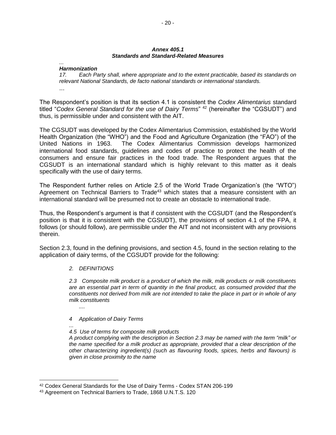#### *Annex 405.1 Standards and Standard-Related Measures*

# *...*

*Harmonization 17. Each Party shall, where appropriate and to the extent practicable, based its standards on relevant National Standards, de facto national standards or international standards.* ...

The Respondent's position is that its section 4.1 is consistent the *Codex Alimentarius* standard titled "*Codex General Standard for the use of Dairy Terms*" <sup>42</sup> (hereinafter the "CGSUDT") and thus, is permissible under and consistent with the AIT.

The CGSUDT was developed by the Codex Alimentarius Commission, established by the World Health Organization (the "WHO") and the Food and Agriculture Organization (the "FAO") of the United Nations in 1963. The Codex Alimentarius Commission develops harmonized international food standards, guidelines and codes of practice to protect the health of the consumers and ensure fair practices in the food trade. The Respondent argues that the CGSUDT is an international standard which is highly relevant to this matter as it deals specifically with the use of dairy terms.

The Respondent further relies on Article 2.5 of the World Trade Organization's (the "WTO") Agreement on Technical Barriers to Trade<sup>43</sup> which states that a measure consistent with an international standard will be presumed not to create an obstacle to international trade.

Thus, the Respondent's argument is that if consistent with the CGSUDT (and the Respondent's position is that it is consistent with the CGSUDT), the provisions of section 4.1 of the FPA, it follows (or should follow), are permissible under the AIT and not inconsistent with any provisions therein.

Section 2.3, found in the defining provisions, and section 4.5, found in the section relating to the application of dairy terms, of the CGSUDT provide for the following:

#### *2. DEFINITIONS*

*....*

*2.3 Composite milk product is a product of which the milk, milk products or milk constituents are an essential part in term of quantity in the final product, as consumed provided that the constituents not derived from milk are not intended to take the place in part or in whole of any milk constituents*

#### *4 Application of Dairy Terms*

#### *... 4.5 Use of terms for composite milk products*

*A product complying with the description in Section 2.3 may be named with the term "milk" or the name specified for a milk product as appropriate, provided that a clear description of the other characterizing ingredient(s) (such as flavouring foods, spices, herbs and flavours) is given in close proximity to the name*

<sup>&</sup>lt;sup>42</sup> Codex General Standards for the Use of Dairy Terms - Codex STAN 206-199

<sup>43</sup> Agreement on Technical Barriers to Trade, 1868 U.N.T.S. 120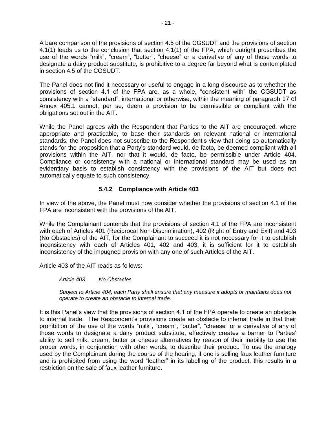A bare comparison of the provisions of section 4.5 of the CGSUDT and the provisions of section 4.1(1) leads us to the conclusion that section 4.1(1) of the FPA, which outright proscribes the use of the words "milk", "cream", "butter", "cheese" or a derivative of any of those words to designate a dairy product substitute, is prohibitive to a degree far beyond what is contemplated in section 4.5 of the CGSUDT.

The Panel does not find it necessary or useful to engage in a long discourse as to whether the provisions of section 4.1 of the FPA are, as a whole, "consistent with" the CGSUDT as consistency with a "standard", international or otherwise, within the meaning of paragraph 17 of Annex 405.1 cannot, per se, deem a provision to be permissible or compliant with the obligations set out in the AIT.

While the Panel agrees with the Respondent that Parties to the AIT are encouraged, where appropriate and practicable, to base their standards on relevant national or international standards, the Panel does not subscribe to the Respondent's view that doing so automatically stands for the proposition that a Party's standard would, de facto, be deemed compliant with all provisions within the AIT, nor that it would, de facto, be permissible under Article 404. Compliance or consistency with a national or international standard may be used as an evidentiary basis to establish consistency with the provisions of the AIT but does not automatically equate to such consistency.

## **5.4.2 Compliance with Article 403**

In view of the above, the Panel must now consider whether the provisions of section 4.1 of the FPA are inconsistent with the provisions of the AIT.

While the Complainant contends that the provisions of section 4.1 of the FPA are inconsistent with each of Articles 401 (Reciprocal Non-Discrimination), 402 (Right of Entry and Exit) and 403 (No Obstacles) of the AIT, for the Complainant to succeed it is not necessary for it to establish inconsistency with each of Articles 401, 402 and 403, it is sufficient for it to establish inconsistency of the impugned provision with any one of such Articles of the AIT.

Article 403 of the AIT reads as follows:

*Article 403: No Obstacles*

*Subject to Article 404, each Party shall ensure that any measure it adopts or maintains does not operate to create an obstacle to internal trade.* 

It is this Panel's view that the provisions of section 4.1 of the FPA operate to create an obstacle to internal trade. The Respondent's provisions create an obstacle to internal trade in that their prohibition of the use of the words "milk", "cream", "butter", "cheese" or a derivative of any of those words to designate a dairy product substitute, effectively creates a barrier to Parties' ability to sell milk, cream, butter or cheese alternatives by reason of their inability to use the proper words, in conjunction with other words, to describe their product. To use the analogy used by the Complainant during the course of the hearing, if one is selling faux leather furniture and is prohibited from using the word "leather" in its labelling of the product, this results in a restriction on the sale of faux leather furniture.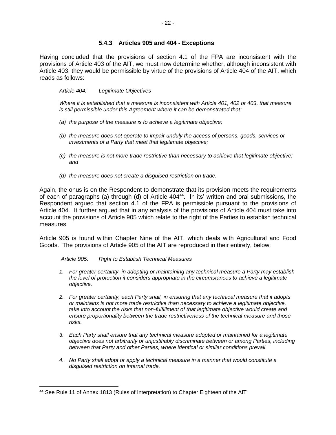#### **5.4.3 Articles 905 and 404 - Exceptions**

Having concluded that the provisions of section 4.1 of the FPA are inconsistent with the provisions of Article 403 of the AIT, we must now determine whether, although inconsistent with Article 403, they would be permissible by virtue of the provisions of Article 404 of the AIT, which reads as follows:

#### *Article 404: Legitimate Objectives*

*Where it is established that a measure is inconsistent with Article 401, 402 or 403, that measure is still permissible under this Agreement where it can be demonstrated that:*

- *(a) the purpose of the measure is to achieve a legitimate objective;*
- *(b) the measure does not operate to impair unduly the access of persons, goods, services or investments of a Party that meet that legitimate objective;*
- *(c) the measure is not more trade restrictive than necessary to achieve that legitimate objective; and*
- *(d) the measure does not create a disguised restriction on trade.*

Again, the onus is on the Respondent to demonstrate that its provision meets the requirements of each of paragraphs (a) through (d) of Article 404<sup>44</sup>. In its' written and oral submissions, the Respondent argued that section 4.1 of the FPA is permissible pursuant to the provisions of Article 404. It further argued that in any analysis of the provisions of Article 404 must take into account the provisions of Article 905 which relate to the right of the Parties to establish technical measures.

Article 905 is found within Chapter Nine of the AIT, which deals with Agricultural and Food Goods. The provisions of Article 905 of the AIT are reproduced in their entirety, below:

*Article 905: Right to Establish Technical Measures*

- *1. For greater certainty, in adopting or maintaining any technical measure a Party may establish the level of protection it considers appropriate in the circumstances to achieve a legitimate objective.*
- *2. For greater certainty, each Party shall, in ensuring that any technical measure that it adopts or maintains is not more trade restrictive than necessary to achieve a legitimate objective,*  take into account the risks that non-fulfillment of that legitimate objective would create and *ensure proportionality between the trade restrictiveness of the technical measure and those risks.*
- *3. Each Party shall ensure that any technical measure adopted or maintained for a legitimate objective does not arbitrarily or unjustifiably discriminate between or among Parties, including between that Party and other Parties, where identical or similar conditions prevail.*
- *4. No Party shall adopt or apply a technical measure in a manner that would constitute a disguised restriction on internal trade.*

<sup>44</sup> See Rule 11 of Annex 1813 (Rules of Interpretation) to Chapter Eighteen of the AIT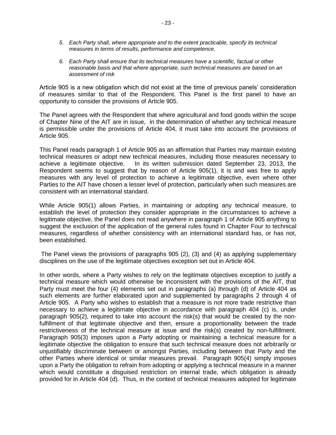- *5. Each Party shall, where appropriate and to the extent practicable, specify its technical measures in terms of results, performance and competence.*
- *6. Each Party shall ensure that its technical measures have a scientific, factual or other reasonable basis and that where appropriate, such technical measures are based on an assessment of risk*

Article 905 is a new obligation which did not exist at the time of previous panels' consideration of measures similar to that of the Respondent. This Panel is the first panel to have an opportunity to consider the provisions of Article 905.

The Panel agrees with the Respondent that where agricultural and food goods within the scope of Chapter Nine of the AIT are in issue, in the determination of whether any technical measure is permissible under the provisions of Article 404, it must take into account the provisions of Article 905.

This Panel reads paragraph 1 of Article 905 as an affirmation that Parties may maintain existing technical measures or adopt new technical measures, including those measures necessary to achieve a legitimate objective. In its written submission dated September 23, 2013, the Respondent seems to suggest that by reason of Article 905(1), it is and was free to apply measures with any level of protection to achieve a legitimate objective, even where other Parties to the AIT have chosen a lesser level of protection, particularly when such measures are consistent with an international standard.

While Article 905(1) allows Parties, in maintaining or adopting any technical measure, to establish the level of protection they consider appropriate in the circumstances to achieve a legitimate objective, the Panel does not read anywhere in paragraph 1 of Article 905 anything to suggest the exclusion of the application of the general rules found in Chapter Four to technical measures, regardless of whether consistency with an international standard has, or has not, been established.

The Panel views the provisions of paragraphs 905 (2), (3) and (4) as applying supplementary disciplines on the use of the legitimate objectives exception set out in Article 404.

In other words, where a Party wishes to rely on the legitimate objectives exception to justify a technical measure which would otherwise be inconsistent with the provisions of the AIT, that Party must meet the four (4) elements set out in paragraphs (a) through (d) of Article 404 as such elements are further elaborated upon and supplemented by paragraphs 2 through 4 of Article 905. A Party who wishes to establish that a measure is not more trade restrictive than necessary to achieve a legitimate objective in accordance with paragraph 404 (c) is, under paragraph 905(2), required to take into account the risk(s) that would be created by the nonfulfillment of that legitimate objective and then, ensure a proportionality between the trade restrictiveness of the technical measure at issue and the risk(s) created by non-fulfillment. Paragraph 905(3) imposes upon a Party adopting or maintaining a technical measure for a legitimate objective the obligation to ensure that such technical measure does not arbitrarily or unjustifiably discriminate between or amongst Parties, including between that Party and the other Parties where identical or similar measures prevail. Paragraph 905(4) simply imposes upon a Party the obligation to refrain from adopting or applying a technical measure in a manner which would constitute a disquised restriction on internal trade, which obligation is already provided for in Article 404 (d). Thus, in the context of technical measures adopted for legitimate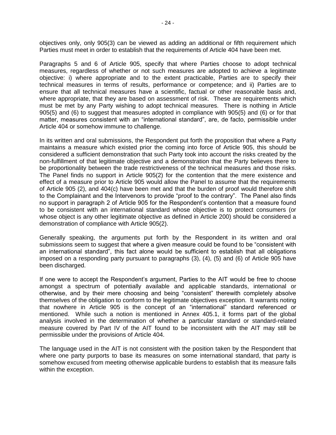objectives only, only 905(3) can be viewed as adding an additional or fifth requirement which Parties must meet in order to establish that the requirements of Article 404 have been met.

Paragraphs 5 and 6 of Article 905, specify that where Parties choose to adopt technical measures, regardless of whether or not such measures are adopted to achieve a legitimate objective: i) where appropriate and to the extent practicable, Parties are to specify their technical measures in terms of results, performance or competence; and ii) Parties are to ensure that all technical measures have a scientific, factual or other reasonable basis and, where appropriate, that they are based on assessment of risk. These are requirements which must be met by any Party wishing to adopt technical measures. There is nothing in Article 905(5) and (6) to suggest that measures adopted in compliance with 905(5) and (6) or for that matter, measures consistent with an "international standard", are, de facto, permissible under Article 404 or somehow immune to challenge.

In its written and oral submissions, the Respondent put forth the proposition that where a Party maintains a measure which existed prior the coming into force of Article 905, this should be considered a sufficient demonstration that such Party took into account the risks created by the non-fulfillment of that legitimate objective and a demonstration that the Party believes there to be proportionality between the trade restrictiveness of the technical measures and those risks. The Panel finds no support in Article 905(2) for the contention that the mere existence and effect of a measure prior to Article 905 would allow the Panel to assume that the requirements of Article 905 (2), and 404(c) have been met and that the burden of proof would therefore shift to the Complainant and the Intervenors to provide "proof to the contrary". The Panel also finds no support in paragraph 2 of Article 905 for the Respondent's contention that a measure found to be consistent with an international standard whose objective is to protect consumers (or whose object is any other legitimate objective as defined in Article 200) should be considered a demonstration of compliance with Article 905(2).

Generally speaking, the arguments put forth by the Respondent in its written and oral submissions seem to suggest that where a given measure could be found to be "consistent with an international standard", this fact alone would be sufficient to establish that all obligations imposed on a responding party pursuant to paragraphs (3), (4), (5) and (6) of Article 905 have been discharged.

If one were to accept the Respondent's argument, Parties to the AIT would be free to choose amongst a spectrum of potentially available and applicable standards, international or otherwise, and by their mere choosing and being "consistent" therewith completely absolve themselves of the obligation to conform to the legitimate objectives exception. It warrants noting that nowhere in Article 905 is the concept of an "international" standard referenced or mentioned. While such a notion is mentioned in Annex 405.1, it forms part of the global analysis involved in the determination of whether a particular standard or standard-related measure covered by Part IV of the AIT found to be inconsistent with the AIT may still be permissible under the provisions of Article 404.

The language used in the AIT is not consistent with the position taken by the Respondent that where one party purports to base its measures on some international standard, that party is somehow excused from meeting otherwise applicable burdens to establish that its measure falls within the exception.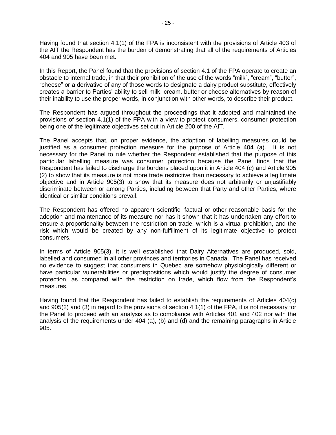Having found that section 4.1(1) of the FPA is inconsistent with the provisions of Article 403 of the AIT the Respondent has the burden of demonstrating that all of the requirements of Articles 404 and 905 have been met.

In this Report, the Panel found that the provisions of section 4.1 of the FPA operate to create an obstacle to internal trade, in that their prohibition of the use of the words "milk", "cream", "butter", "cheese" or a derivative of any of those words to designate a dairy product substitute, effectively creates a barrier to Parties' ability to sell milk, cream, butter or cheese alternatives by reason of their inability to use the proper words, in conjunction with other words, to describe their product.

The Respondent has argued throughout the proceedings that it adopted and maintained the provisions of section 4.1(1) of the FPA with a view to protect consumers, consumer protection being one of the legitimate objectives set out in Article 200 of the AIT.

The Panel accepts that, on proper evidence, the adoption of labelling measures could be justified as a consumer protection measure for the purpose of Article 404 (a). It is not necessary for the Panel to rule whether the Respondent established that the purpose of this particular labelling measure was consumer protection because the Panel finds that the Respondent has failed to discharge the burdens placed upon it in Article 404 (c) and Article 905 (2) to show that its measure is not more trade restrictive than necessary to achieve a legitimate objective and in Article 905(3) to show that its measure does not arbitrarily or unjustifiably discriminate between or among Parties, including between that Party and other Parties, where identical or similar conditions prevail.

The Respondent has offered no apparent scientific, factual or other reasonable basis for the adoption and maintenance of its measure nor has it shown that it has undertaken any effort to ensure a proportionality between the restriction on trade, which is a virtual prohibition, and the risk which would be created by any non-fulfillment of its legitimate objective to protect consumers.

In terms of Article 905(3), it is well established that Dairy Alternatives are produced, sold, labelled and consumed in all other provinces and territories in Canada. The Panel has received no evidence to suggest that consumers in Quebec are somehow physiologically different or have particular vulnerabilities or predispositions which would justify the degree of consumer protection, as compared with the restriction on trade, which flow from the Respondent's measures.

Having found that the Respondent has failed to establish the requirements of Articles 404(c) and 905(2) and (3) in regard to the provisions of section 4.1(1) of the FPA, it is not necessary for the Panel to proceed with an analysis as to compliance with Articles 401 and 402 nor with the analysis of the requirements under 404 (a), (b) and (d) and the remaining paragraphs in Article 905.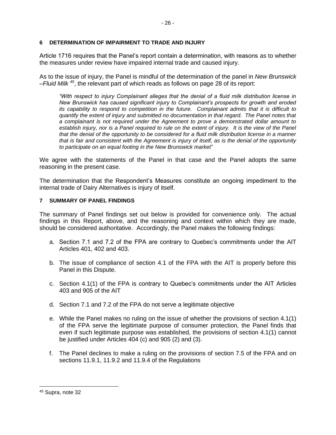#### **6 DETERMINATION OF IMPAIRMENT TO TRADE AND INJURY**

Article 1716 requires that the Panel's report contain a determination, with reasons as to whether the measures under review have impaired internal trade and caused injury.

As to the issue of injury, the Panel is mindful of the determination of the panel in *New Brunswick –Fluid Milk <sup>45</sup>*, the relevant part of which reads as follows on page 28 of its report:

*"With respect to injury Complainant alleges that the denial of a fluid milk distribution license in New Brunswick has caused significant injury to Complainant's prospects for growth and eroded its capability to respond to competition in the future. Complainant admits that it is difficult to quantify the extent of injury and submitted no documentation in that regard. The Panel notes that a complainant is not required under the Agreement to prove a demonstrated dollar amount to*  establish injury, nor is a Panel required to rule on the extent of injury. It is the view of the Panel *that the denial of the opportunity to be considered for a fluid milk distribution license in a manner that is fair and consistent with the Agreement is injury of itself, as is the denial of the opportunity to participate on an equal footing in the New Brunswick market*"

We agree with the statements of the Panel in that case and the Panel adopts the same reasoning in the present case.

The determination that the Respondent's Measures constitute an ongoing impediment to the internal trade of Dairy Alternatives is injury of itself.

#### **7 SUMMARY OF PANEL FINDINGS**

The summary of Panel findings set out below is provided for convenience only. The actual findings in this Report, above, and the reasoning and context within which they are made, should be considered authoritative. Accordingly, the Panel makes the following findings:

- a. Section 7.1 and 7.2 of the FPA are contrary to Quebec's commitments under the AIT Articles 401, 402 and 403.
- b. The issue of compliance of section 4.1 of the FPA with the AIT is properly before this Panel in this Dispute.
- c. Section 4.1(1) of the FPA is contrary to Quebec's commitments under the AIT Articles 403 and 905 of the AIT
- d. Section 7.1 and 7.2 of the FPA do not serve a legitimate objective
- e. While the Panel makes no ruling on the issue of whether the provisions of section 4.1(1) of the FPA serve the legitimate purpose of consumer protection, the Panel finds that even if such legitimate purpose was established, the provisions of section 4.1(1) cannot be justified under Articles 404 (c) and 905 (2) and (3).
- f. The Panel declines to make a ruling on the provisions of section 7.5 of the FPA and on sections 11.9.1, 11.9.2 and 11.9.4 of the Regulations

<sup>45</sup> Supra, note 32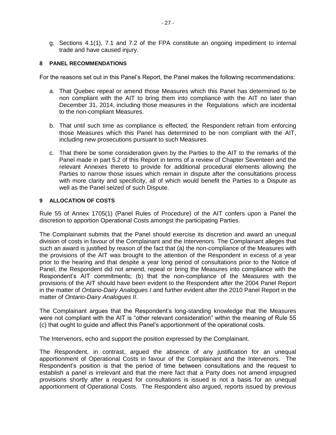g. Sections 4.1(1), 7.1 and 7.2 of the FPA constitute an ongoing impediment to internal trade and have caused injury.

#### **8 PANEL RECOMMENDATIONS**

For the reasons set out in this Panel's Report, the Panel makes the following recommendations:

- a. That Quebec repeal or amend those Measures which this Panel has determined to be non compliant with the AIT to bring them into compliance with the AIT no later than December 31, 2014, including those measures in the Regulations which are incidental to the non-compliant Measures.
- b. That until such time as compliance is effected, the Respondent refrain from enforcing those Measures which this Panel has determined to be non compliant with the AIT, including new prosecutions pursuant to such Measures.
- c. That there be some consideration given by the Parties to the AIT to the remarks of the Panel made in part 5.2 of this Report in terms of a review of Chapter Seventeen and the relevant Annexes thereto to provide for additional procedural elements allowing the Parties to narrow those issues which remain in dispute after the consultations process with more clarity and specificity, all of which would benefit the Parties to a Dispute as well as the Panel seized of such Dispute.

#### **9 ALLOCATION OF COSTS**

Rule 55 of Annex 1705(1) (Panel Rules of Procedure) of the AIT confers upon a Panel the discretion to apportion Operational Costs amongst the participating Parties.

The Complainant submits that the Panel should exercise its discretion and award an unequal division of costs in favour of the Complainant and the Intervenors. The Complainant alleges that such an award is justified by reason of the fact that (a) the non-compliance of the Measures with the provisions of the AIT was brought to the attention of the Respondent in excess of a year prior to the hearing and that despite a year long period of consultations prior to the Notice of Panel, the Respondent did not amend, repeal or bring the Measures into compliance with the Respondent's AIT commitments; (b) that the non-compliance of the Measures with the provisions of the AIT should have been evident to the Respondent after the 2004 Panel Report in the matter of *Ontario-Dairy Analogues I* and further evident after the 2010 Panel Report in the matter of *Ontario-Dairy Analogues II*.

The Complainant argues that the Respondent's long-standing knowledge that the Measures were not compliant with the AIT is "other relevant consideration" within the meaning of Rule 55 (c) that ought to guide and affect this Panel's apportionment of the operational costs.

The Intervenors, echo and support the position expressed by the Complainant.

The Respondent, in contrast, argued the absence of any justification for an unequal apportionment of Operational Costs in favour of the Complainant and the Intervenors. The Respondent's position is that the period of time between consultations and the request to establish a panel is irrelevant and that the mere fact that a Party does not amend impugned provisions shortly after a request for consultations is issued is not a basis for an unequal apportionment of Operational Costs. The Respondent also argued, reports issued by previous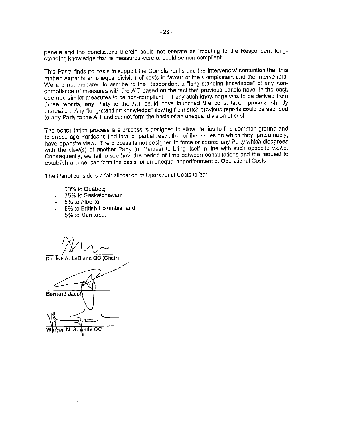panels and the conclusions therein could not operate as imputing to the Respondent longstanding knowledge that its measures were or could be non-compliant.

This Panel finds no basis to support the Complainant's and the Intervenors' contention that this matter warrants an unequal division of costs in favour of the Complainant and the Intervenors. We are not prepared to ascribe to the Respondent a "long-standing knowledge" of any noncompliance of measures with the AIT based on the fact that previous panels have, in the past, deemed similar measures to be non-compliant. If any such knowledge was to be derived from those reports, any Party to the AIT could have launched the consultation process shortly thereafter. Any "long-standing knowledge" flowing from such previous reports could be ascribed to any Party to the AIT and cannot form the basis of an unequal division of cost.

The consultation process is a process is designed to allow Parties to find common ground and to encourage Parties to find total or partial resolution of the issues on which they, presumably, have opposite view. The process is not designed to force or coerce any Party which disagrees with the view(s) of another Party (or Parties) to bring itself in line with such opposite views. Consequently, we fail to see how the period of time between consultations and the request to establish a panel can form the basis for an unequal apportionment of Operational Costs.

The Panel considers a fair allocation of Operational Costs to be:

- 50% to Québec;
- 35% to Saskatchewan;
- 5% to Alberta;
- 5% to British Columbia; and
- 5% to Manitoba.

Denisé A. LeBlanc QC (Chair)

**Bernard Jacob**  $\overline{OC}$ Sproule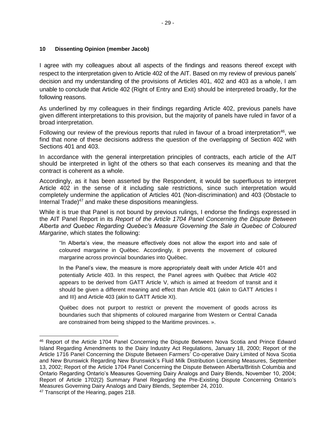#### **10 Dissenting Opinion (member Jacob)**

I agree with my colleagues about all aspects of the findings and reasons thereof except with respect to the interpretation given to Article 402 of the AIT. Based on my review of previous panels' decision and my understanding of the provisions of Articles 401, 402 and 403 as a whole, I am unable to conclude that Article 402 (Right of Entry and Exit) should be interpreted broadly, for the following reasons.

As underlined by my colleagues in their findings regarding Article 402, previous panels have given different interpretations to this provision, but the majority of panels have ruled in favor of a broad interpretation.

Following our review of the previous reports that ruled in favour of a broad interpretation<sup>46</sup>, we find that none of these decisions address the question of the overlapping of Section 402 with Sections 401 and 403.

In accordance with the general interpretation principles of contracts, each article of the AIT should be interpreted in light of the others so that each conserves its meaning and that the contract is coherent as a whole.

Accordingly, as it has been asserted by the Respondent, it would be superfluous to interpret Article 402 in the sense of it including sale restrictions, since such interpretation would completely undermine the application of Articles 401 (Non-discrimination) and 403 (Obstacle to Internal Trade)<sup>47</sup> and make these dispositions meaningless.

While it is true that Panel is not bound by previous rulings, I endorse the findings expressed in the AIT Panel Report in its *Report of the Article 1704 Panel Concerning the Dispute Between Alberta and Quebec Regarding Quebec's Measure Governing the Sale in Quebec of Coloured Margarine*, which states the following:

"In Alberta's view, the measure effectively does not allow the export into and sale of coloured margarine in Québec. Accordingly, it prevents the movement of coloured margarine across provincial boundaries into Québec.

In the Panel's view, the measure is more appropriately dealt with under Article 401 and potentially Article 403. In this respect, the Panel agrees with Québec that Article 402 appears to be derived from GATT Article V, which is aimed at freedom of transit and it should be given a different meaning and effect than Article 401 (akin to GATT Articles I and III) and Article 403 (akin to GATT Article XI).

Québec does not purport to restrict or prevent the movement of goods across its boundaries such that shipments of coloured margarine from Western or Central Canada are constrained from being shipped to the Maritime provinces. ».

 $\overline{a}$ 

<sup>46</sup> Report of the Article 1704 Panel Concerning the Dispute Between Nova Scotia and Prince Edward Island Regarding Amendments to the Dairy Industry Act Regulations, January 18, 2000; Report of the Article 1716 Panel Concerning the Dispute Between Farmers' Co-operative Dairy Limited of Nova Scotia and New Brunswick Regarding New Brunswick's Fluid Milk Distribution Licensing Measures, September 13, 2002; Report of the Article 1704 Panel Concerning the Dispute Between Alberta/British Columbia and Ontario Regarding Ontario's Measures Governing Dairy Analogs and Dairy Blends, November 10, 2004; Report of Article 1702(2) Summary Panel Regarding the Pre-Existing Dispute Concerning Ontario's Measures Governing Dairy Analogs and Dairy Blends, September 24, 2010.

<sup>47</sup> Transcript of the Hearing, pages 218.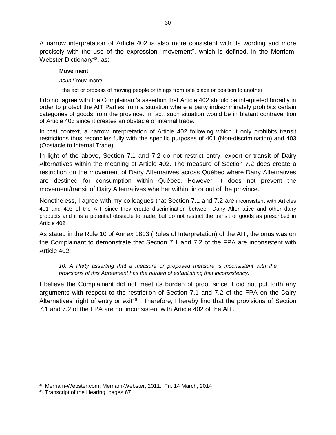A narrow interpretation of Article 402 is also more consistent with its wording and more precisely with the use of the expression "movement", which is defined, in the Merriam-Webster Dictionary<sup>48</sup>, as:

#### **Move**·**ment**

- *noun* \ˈmüv-mənt\
- : the act or process of moving people or things from one place or position to another

I do not agree with the Complainant's assertion that Article 402 should be interpreted broadly in order to protect the AIT Parties from a situation where a party indiscriminately prohibits certain categories of goods from the province. In fact, such situation would be in blatant contravention of Article 403 since it creates an obstacle of internal trade.

In that context, a narrow interpretation of Article 402 following which it only prohibits transit restrictions thus reconciles fully with the specific purposes of 401 (Non-discrimination) and 403 (Obstacle to Internal Trade).

In light of the above, Section 7.1 and 7.2 do not restrict entry, export or transit of Dairy Alternatives within the meaning of Article 402. The measure of Section 7.2 does create a restriction on the movement of Dairy Alternatives across Québec where Dairy Alternatives are destined for consumption within Québec. However, it does not prevent the movement/transit of Dairy Alternatives whether within, in or out of the province.

Nonetheless, I agree with my colleagues that Section 7.1 and 7.2 are inconsistent with Articles 401 and 403 of the AIT since they create discrimination between Dairy Alternative and other dairy products and it is a potential obstacle to trade, but do not restrict the transit of goods as prescribed in Article 402.

As stated in the Rule 10 of Annex 1813 (Rules of Interpretation) of the AIT, the onus was on the Complainant to demonstrate that Section 7.1 and 7.2 of the FPA are inconsistent with Article 402:

*10. A Party asserting that a measure or proposed measure is inconsistent with the provisions of this Agreement has the burden of establishing that inconsistency.*

I believe the Complainant did not meet its burden of proof since it did not put forth any arguments with respect to the restriction of Section 7.1 and 7.2 of the FPA on the Dairy Alternatives' right of entry or exit<sup>49</sup>. Therefore, I hereby find that the provisions of Section 7.1 and 7.2 of the FPA are not inconsistent with Article 402 of the AIT.

<sup>48</sup> Merriam-Webster.com. Merriam-Webster, 2011. Fri. 14 March, 2014

<sup>49</sup> Transcript of the Hearing, pages 67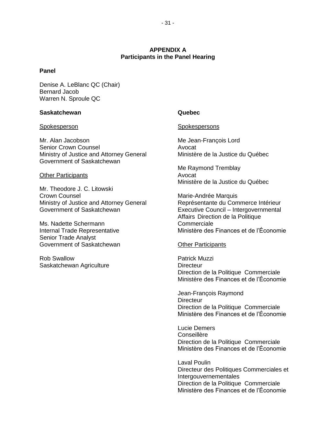### **APPENDIX A Participants in the Panel Hearing**

#### **Panel**

Denise A. LeBlanc QC (Chair) Bernard Jacob Warren N. Sproule QC

#### **Saskatchewan CONSISTENT CONSISTENT CONSISTENT CONSISTENT CONSISTENT CONSISTENT CONSISTENT CONSISTENT CONSISTENT CONSISTENT CONSISTENT CONSISTENT CONSISTENT CONSISTENT CONSISTENT CONSISTENT CONSISTENT CONSISTENT CONSISTE**

Mr. Alan Jacobson Mr. Alan Jacobson Senior Crown Counsel **Avocat** Avocat Ministry of Justice and Attorney General Ministère de la Justice du Québec Government of Saskatchewan

#### Other Participants **Avocat**

Mr. Theodore J. C. Litowski Crown Counsel **Marie-Andrée Marquis** Marie-Andrée Marquis Ministry of Justice and Attorney General Représentante du Commerce Intérieur<br>
Représentante du Commerce Intérieur<br>
Executive Council – Intergovernmental

Ms. Nadette Schermann Commerciale Senior Trade Analyst Government of Saskatchewan **Other Participants** 

Rob Swallow **Patrick Muzzi** Saskatchewan Agriculture **Directeur** Directeur

#### Spokesperson Spokespersons

Me Raymond Tremblay Ministère de la Justice du Québec

Executive Council – Intergovernmental Affairs Direction de la Politique Internal Trade Representative Ministère des Finances et de l'Économie

Direction de la Politique Commerciale Ministère des Finances et de l'Économie

Jean-François Raymond **Directeur** Direction de la Politique Commerciale Ministère des Finances et de l'Économie

Lucie Demers Conseillère Direction de la Politique Commerciale Ministère des Finances et de l'Économie

Laval Poulin Directeur des Politiques Commerciales et Intergouvernementales Direction de la Politique Commerciale Ministère des Finances et de l'Économie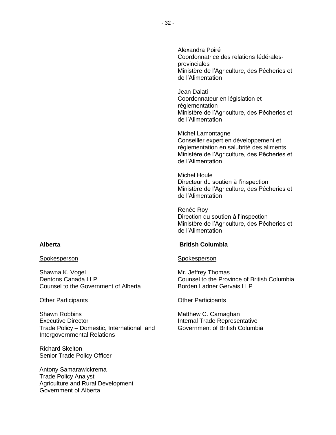Spokesperson Spokesperson

Shawna K. Vogel **Mr.** Jeffrey Thomas Counsel to the Government of Alberta **Borden Ladner Gervais LLP** 

#### **Other Participants Other Participants**

Shawn Robbins **Matthew C. Carnaghan** Executive Director **Internal Trade Representative** Trade Policy – Domestic, International and Government of British Columbia Intergovernmental Relations

Richard Skelton Senior Trade Policy Officer

Antony Samarawickrema Trade Policy Analyst Agriculture and Rural Development Government of Alberta

Alexandra Poiré Coordonnatrice des relations fédéralesprovinciales Ministère de l'Agriculture, des Pêcheries et de l'Alimentation

Jean Dalati Coordonnateur en législation et réglementation Ministère de l'Agriculture, des Pêcheries et de l'Alimentation

Michel Lamontagne Conseiller expert en développement et réglementation en salubrité des aliments Ministère de l'Agriculture, des Pêcheries et de l'Alimentation

Michel Houle Directeur du soutien à l'inspection Ministère de l'Agriculture, des Pêcheries et de l'Alimentation

Renée Roy Direction du soutien à l'inspection Ministère de l'Agriculture, des Pêcheries et de l'Alimentation

#### **Alberta British Columbia**

Dentons Canada LLP Counsel to the Province of British Columbia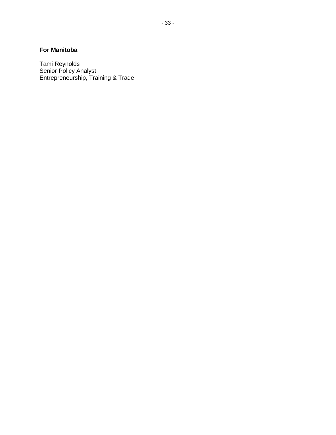# **For Manitoba**

Tami Reynolds Senior Policy Analyst Entrepreneurship, Training & Trade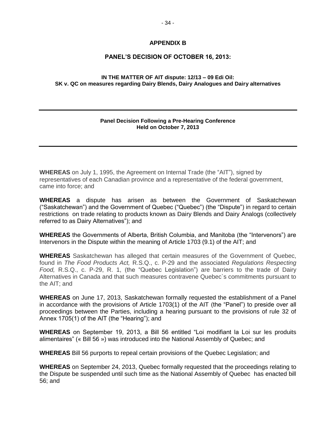#### **APPENDIX B**

#### **PANEL'S DECISION OF OCTOBER 16, 2013:**

#### **IN THE MATTER OF AIT dispute: 12/13 – 09 Edi Oil: SK v. QC on measures regarding Dairy Blends, Dairy Analogues and Dairy alternatives**

#### **Panel Decision Following a Pre-Hearing Conference Held on October 7, 2013**

**WHEREAS** on July 1, 1995, the Agreement on Internal Trade (the "AIT"), signed by representatives of each Canadian province and a representative of the federal government, came into force; and

**WHEREAS** a dispute has arisen as between the Government of Saskatchewan ("Saskatchewan") and the Government of Quebec ("Quebec") (the "Dispute") in regard to certain restrictions on trade relating to products known as Dairy Blends and Dairy Analogs (collectively referred to as Dairy Alternatives"); and

**WHEREAS** the Governments of Alberta, British Columbia, and Manitoba (the "Intervenors") are Intervenors in the Dispute within the meaning of Article 1703 (9.1) of the AIT; and

**WHEREAS** Saskatchewan has alleged that certain measures of the Government of Quebec, found in *The Food Products Act,* R.S.Q., c. P-29 and the associated *Regulations Respecting Food,* R.S.Q., c. P-29, R. 1, (the "Quebec Legislation") are barriers to the trade of Dairy Alternatives in Canada and that such measures contravene Quebec`s commitments pursuant to the AIT; and

**WHEREAS** on June 17, 2013, Saskatchewan formally requested the establishment of a Panel in accordance with the provisions of Article 1703(1) of the AIT (the "Panel") to preside over all proceedings between the Parties, including a hearing pursuant to the provisions of rule 32 of Annex 1705(1) of the AIT (the "Hearing"); and

**WHEREAS** on September 19, 2013, a Bill 56 entitled "Loi modifiant la Loi sur les produits alimentaires" (« Bill 56 ») was introduced into the National Assembly of Quebec; and

**WHEREAS** Bill 56 purports to repeal certain provisions of the Quebec Legislation; and

**WHEREAS** on September 24, 2013, Quebec formally requested that the proceedings relating to the Dispute be suspended until such time as the National Assembly of Quebec has enacted bill 56; and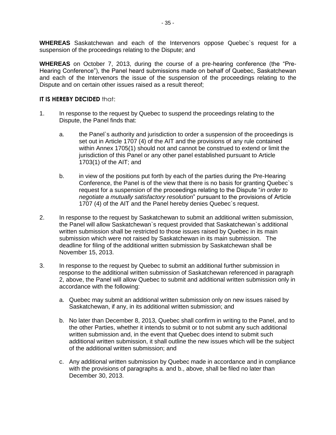**WHEREAS** Saskatchewan and each of the Intervenors oppose Quebec`s request for a suspension of the proceedings relating to the Dispute; and

**WHEREAS** on October 7, 2013, during the course of a pre-hearing conference (the "Pre-Hearing Conference"), the Panel heard submissions made on behalf of Quebec, Saskatchewan and each of the Intervenors the issue of the suspension of the proceedings relating to the Dispute and on certain other issues raised as a result thereof;

#### **IT IS HEREBY DECIDED that:**

- 1. In response to the request by Quebec to suspend the proceedings relating to the Dispute, the Panel finds that:
	- a. the Panel`s authority and jurisdiction to order a suspension of the proceedings is set out in Article 1707 (4) of the AIT and the provisions of any rule contained within Annex 1705(1) should not and cannot be construed to extend or limit the jurisdiction of this Panel or any other panel established pursuant to Article 1703(1) of the AIT; and
	- b. in view of the positions put forth by each of the parties during the Pre-Hearing Conference, the Panel is of the view that there is no basis for granting Quebec`s request for a suspension of the proceedings relating to the Dispute "*in order to negotiate a mutually satisfactory resolution*" pursuant to the provisions of Article 1707 (4) of the AIT and the Panel hereby denies Quebec`s request.
- 2. In response to the request by Saskatchewan to submit an additional written submission, the Panel will allow Saskatchewan`s request provided that Saskatchewan`s additional written submission shall be restricted to those issues raised by Quebec in its main submission which were not raised by Saskatchewan in its main submission. The deadline for filing of the additional written submission by Saskatchewan shall be November 15, 2013.
- 3. In response to the request by Quebec to submit an additional further submission in response to the additional written submission of Saskatchewan referenced in paragraph 2, above, the Panel will allow Quebec to submit and additional written submission only in accordance with the following:
	- a. Quebec may submit an additional written submission only on new issues raised by Saskatchewan, if any, in its additional written submission; and
	- b. No later than December 8, 2013, Quebec shall confirm in writing to the Panel, and to the other Parties, whether it intends to submit or to not submit any such additional written submission and, in the event that Quebec does intend to submit such additional written submission, it shall outline the new issues which will be the subject of the additional written submission; and
	- c. Any additional written submission by Quebec made in accordance and in compliance with the provisions of paragraphs a. and b., above, shall be filed no later than December 30, 2013.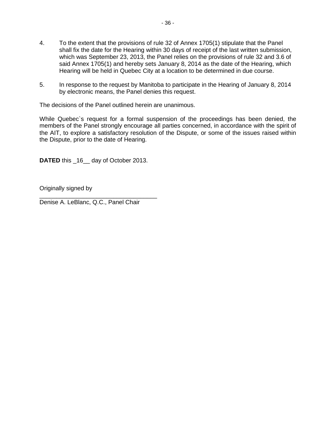- 4. To the extent that the provisions of rule 32 of Annex 1705(1) stipulate that the Panel shall fix the date for the Hearing within 30 days of receipt of the last written submission, which was September 23, 2013, the Panel relies on the provisions of rule 32 and 3.6 of said Annex 1705(1) and hereby sets January 8, 2014 as the date of the Hearing, which Hearing will be held in Quebec City at a location to be determined in due course.
- 5. In response to the request by Manitoba to participate in the Hearing of January 8, 2014 by electronic means, the Panel denies this request.

The decisions of the Panel outlined herein are unanimous.

While Quebec`s request for a formal suspension of the proceedings has been denied, the members of the Panel strongly encourage all parties concerned, in accordance with the spirit of the AIT, to explore a satisfactory resolution of the Dispute, or some of the issues raised within the Dispute, prior to the date of Hearing.

**DATED** this \_16\_\_ day of October 2013.

Originally signed by

\_\_\_\_\_\_\_\_\_\_\_\_\_\_\_\_\_\_\_\_\_\_\_\_\_\_\_\_\_\_\_\_\_\_\_ Denise A. LeBlanc, Q.C., Panel Chair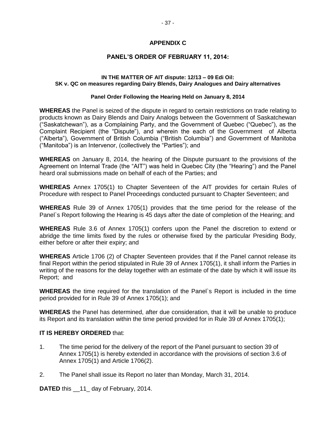#### **APPENDIX C**

#### **PANEL'S ORDER OF FEBRUARY 11, 2014:**

#### **IN THE MATTER OF AIT dispute: 12/13 – 09 Edi Oil: SK v. QC on measures regarding Dairy Blends, Dairy Analogues and Dairy alternatives**

#### **Panel Order Following the Hearing Held on January 8, 2014**

**WHEREAS** the Panel is seized of the dispute in regard to certain restrictions on trade relating to products known as Dairy Blends and Dairy Analogs between the Government of Saskatchewan ("Saskatchewan"), as a Complaining Party, and the Government of Quebec ("Quebec"), as the Complaint Recipient (the "Dispute"), and wherein the each of the Government of Alberta ("Alberta"), Government of British Columbia ("British Columbia") and Government of Manitoba ("Manitoba") is an Intervenor, (collectively the "Parties"); and

**WHEREAS** on January 8, 2014, the hearing of the Dispute pursuant to the provisions of the Agreement on Internal Trade (the "AIT") was held in Quebec City (the "Hearing") and the Panel heard oral submissions made on behalf of each of the Parties; and

**WHEREAS** Annex 1705(1) to Chapter Seventeen of the AIT provides for certain Rules of Procedure with respect to Panel Proceedings conducted pursuant to Chapter Seventeen; and

**WHEREAS** Rule 39 of Annex 1705(1) provides that the time period for the release of the Panel`s Report following the Hearing is 45 days after the date of completion of the Hearing; and

**WHEREAS** Rule 3.6 of Annex 1705(1) confers upon the Panel the discretion to extend or abridge the time limits fixed by the rules or otherwise fixed by the particular Presiding Body, either before or after their expiry; and

**WHEREAS** Article 1706 (2) of Chapter Seventeen provides that if the Panel cannot release its final Report within the period stipulated in Rule 39 of Annex 1705(1), it shall inform the Parties in writing of the reasons for the delay together with an estimate of the date by which it will issue its Report; and

**WHEREAS** the time required for the translation of the Panel`s Report is included in the time period provided for in Rule 39 of Annex 1705(1); and

**WHEREAS** the Panel has determined, after due consideration, that it will be unable to produce its Report and its translation within the time period provided for in Rule 39 of Annex 1705(1);

#### **IT IS HEREBY ORDERED** that:

- 1. The time period for the delivery of the report of the Panel pursuant to section 39 of Annex 1705(1) is hereby extended in accordance with the provisions of section 3.6 of Annex 1705(1) and Article 1706(2).
- 2. The Panel shall issue its Report no later than Monday, March 31, 2014.

**DATED** this 11 day of February, 2014.